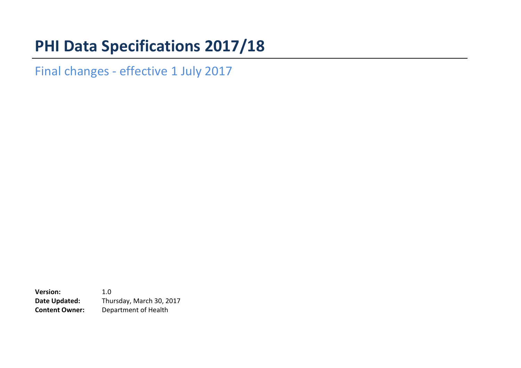# **PHI Data Specifications 2017/18**

Final changes - effective 1 July 2017

**Version:** 1.0 **Date Updated:** Thursday, March 30, 2017 **Content Owner:** Department of Health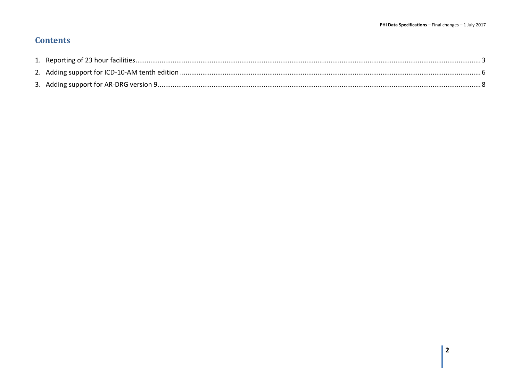### **Contents**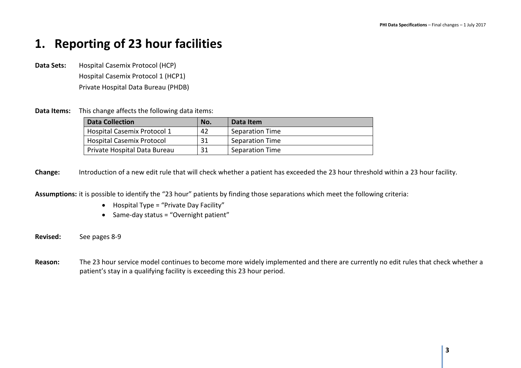### <span id="page-2-0"></span>**1. Reporting of 23 hour facilities**

**Data Sets:** Hospital Casemix Protocol (HCP) Hospital Casemix Protocol 1 (HCP1) Private Hospital Data Bureau (PHDB)

**Data Items:** This change affects the following data items:

| <b>Data Collection</b>             | No. | Data Item              |
|------------------------------------|-----|------------------------|
| <b>Hospital Casemix Protocol 1</b> | 42  | <b>Separation Time</b> |
| <b>Hospital Casemix Protocol</b>   | 31  | Separation Time        |
| Private Hospital Data Bureau       | 31  | <b>Separation Time</b> |

**Change:** Introduction of a new edit rule that will check whether a patient has exceeded the 23 hour threshold within a 23 hour facility.

**Assumptions:** it is possible to identify the "23 hour" patients by finding those separations which meet the following criteria:

- Hospital Type = "Private Day Facility"
- Same-day status = "Overnight patient"

**Revised:** See pages 8-9

**Reason:** The 23 hour service model continues to become more widely implemented and there are currently no edit rules that check whether a patient's stay in a qualifying facility is exceeding this 23 hour period.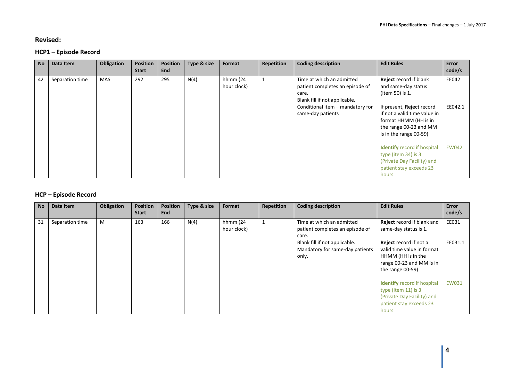#### **Revised:**

#### **HCP1 – Episode Record**

| <b>No</b> | Data Item       | Obligation | <b>Position</b><br><b>Start</b> | <b>Position</b><br><b>End</b> | Type & size | Format                  | Repetition | <b>Coding description</b>                                                                                                                                       | <b>Edit Rules</b>                                                                                                                                                                              | Error<br>code/s  |
|-----------|-----------------|------------|---------------------------------|-------------------------------|-------------|-------------------------|------------|-----------------------------------------------------------------------------------------------------------------------------------------------------------------|------------------------------------------------------------------------------------------------------------------------------------------------------------------------------------------------|------------------|
| 42        | Separation time | <b>MAS</b> | 292                             | 295                           | N(4)        | hhmm (24<br>hour clock) | 1          | Time at which an admitted<br>patient completes an episode of<br>care.<br>Blank fill if not applicable.<br>Conditional item - mandatory for<br>same-day patients | <b>Reject</b> record if blank<br>and same-day status<br>(item 50) is 1.<br>If present, <b>Reject</b> record<br>if not a valid time value in<br>format HHMM (HH is in<br>the range 00-23 and MM | EE042<br>EE042.1 |
|           |                 |            |                                 |                               |             |                         |            |                                                                                                                                                                 | is in the range 00-59)<br><b>Identify</b> record if hospital<br>type (item 34) is 3<br>(Private Day Facility) and<br>patient stay exceeds 23<br>hours                                          | <b>EW042</b>     |

#### **HCP – Episode Record**

| <b>No</b> | Data Item       | <b>Obligation</b> | <b>Position</b><br><b>Start</b> | <b>Position</b><br><b>End</b> | Type & size | Format                  | Repetition | <b>Coding description</b>                                                 | <b>Edit Rules</b>                                                                                                                 | Error<br>code/s |
|-----------|-----------------|-------------------|---------------------------------|-------------------------------|-------------|-------------------------|------------|---------------------------------------------------------------------------|-----------------------------------------------------------------------------------------------------------------------------------|-----------------|
| 31        | Separation time | M                 | 163                             | 166                           | N(4)        | hhmm (24<br>hour clock) |            | Time at which an admitted<br>patient completes an episode of<br>care.     | <b>Reject</b> record if blank and<br>same-day status is 1.                                                                        | EE031           |
|           |                 |                   |                                 |                               |             |                         |            | Blank fill if not applicable.<br>Mandatory for same-day patients<br>only. | <b>Reject</b> record if not a<br>valid time value in format<br>HHMM (HH is in the<br>range 00-23 and MM is in<br>the range 00-59) | EE031.1         |
|           |                 |                   |                                 |                               |             |                         |            |                                                                           | <b>Identify</b> record if hospital<br>type (item $11$ ) is 3<br>(Private Day Facility) and<br>patient stay exceeds 23<br>hours    | <b>EW031</b>    |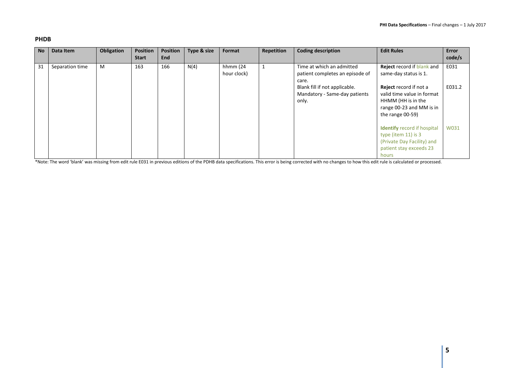#### **PHDB**

| <b>No</b> | Data Item       | Obligation | <b>Position</b><br><b>Start</b> | Position<br>End | Type & size | Format                  | Repetition | <b>Coding description</b>                                               | <b>Edit Rules</b>                                                                                                              | Error<br>code/s |
|-----------|-----------------|------------|---------------------------------|-----------------|-------------|-------------------------|------------|-------------------------------------------------------------------------|--------------------------------------------------------------------------------------------------------------------------------|-----------------|
| 31        | Separation time | M          | 163                             | 166             | N(4)        | hhmm (24<br>hour clock) |            | Time at which an admitted<br>patient completes an episode of<br>care.   | Reject record if blank and<br>same-day status is 1.                                                                            | E031            |
|           |                 |            |                                 |                 |             |                         |            | Blank fill if not applicable.<br>Mandatory - Same-day patients<br>only. | Reject record if not a<br>valid time value in format<br>HHMM (HH is in the<br>range 00-23 and MM is in<br>the range 00-59)     | E031.2          |
|           |                 |            |                                 |                 |             |                         |            |                                                                         | <b>Identify</b> record if hospital<br>type (item $11$ ) is 3<br>(Private Day Facility) and<br>patient stay exceeds 23<br>hours | W031            |

\*Note: The word 'blank' was missing from edit rule E031 in previous editions of the PDHB data specifications. This error is being corrected with no changes to how this edit rule is calculated or processed.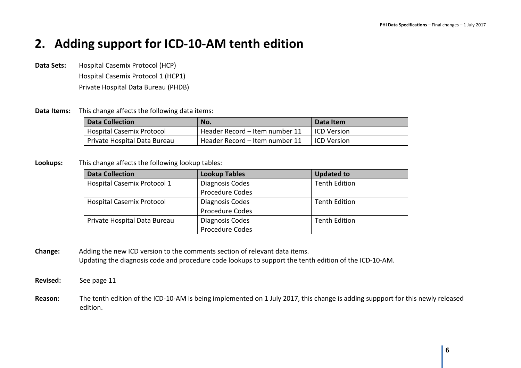### <span id="page-5-0"></span>**2. Adding support for ICD-10-AM tenth edition**

- **Data Sets:** Hospital Casemix Protocol (HCP) Hospital Casemix Protocol 1 (HCP1) Private Hospital Data Bureau (PHDB)
- **Data Items:** This change affects the following data items:

| <b>Data Collection</b>           | No.                            | Data Item          |
|----------------------------------|--------------------------------|--------------------|
| <b>Hospital Casemix Protocol</b> | Header Record - Item number 11 | <b>ICD Version</b> |
| Private Hospital Data Bureau     | Header Record - Item number 11 | <b>ICD Version</b> |

**Lookups:** This change affects the following lookup tables:

| <b>Data Collection</b>             | <b>Lookup Tables</b>   | <b>Updated to</b>    |
|------------------------------------|------------------------|----------------------|
| <b>Hospital Casemix Protocol 1</b> | Diagnosis Codes        | <b>Tenth Edition</b> |
|                                    | <b>Procedure Codes</b> |                      |
| <b>Hospital Casemix Protocol</b>   | Diagnosis Codes        | <b>Tenth Edition</b> |
|                                    | <b>Procedure Codes</b> |                      |
| Private Hospital Data Bureau       | Diagnosis Codes        | <b>Tenth Edition</b> |
|                                    | <b>Procedure Codes</b> |                      |

- **Change:** Adding the new ICD version to the comments section of relevant data items. Updating the diagnosis code and procedure code lookups to support the tenth edition of the ICD-10-AM.
- **Revised:** See page 11
- **Reason:** The tenth edition of the ICD-10-AM is being implemented on 1 July 2017, this change is adding suppport for this newly released edition.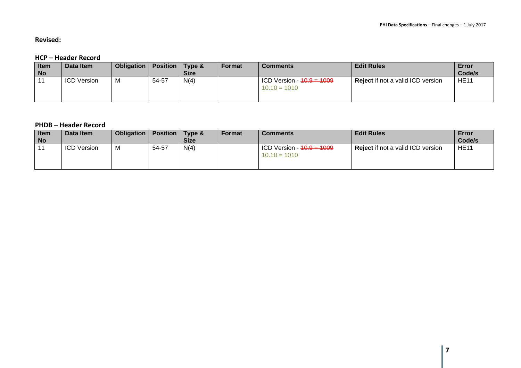**Revised:**

#### **HCP – Header Record**

| <b>Item</b><br><b>No</b> | Data Item          | Obligation | <b>Position</b> | Type &<br><b>Size</b> | Format | <b>Comments</b>                                        | <b>Edit Rules</b>                        | Error<br>Code/s |
|--------------------------|--------------------|------------|-----------------|-----------------------|--------|--------------------------------------------------------|------------------------------------------|-----------------|
|                          | <b>ICD Version</b> | <b>IVI</b> | 54-57           | N(4)                  |        | ICD Version - <del>10.9 = 1009</del><br>$10.10 = 1010$ | <b>Reject</b> if not a valid ICD version | <b>HE11</b>     |

#### **PHDB – Header Record**

| Item      | Data Item          | <b>Obligation</b> | <b>Position</b> Type & |             | Format | <b>Comments</b>                                        | <b>Edit Rules</b>                        | Error       |
|-----------|--------------------|-------------------|------------------------|-------------|--------|--------------------------------------------------------|------------------------------------------|-------------|
| <b>No</b> |                    |                   |                        | <b>Size</b> |        |                                                        |                                          | Code/s      |
|           | <b>ICD Version</b> |                   | 54-57                  | N(4)        |        | ICD Version - <del>10.9 = 1009</del><br>$10.10 = 1010$ | <b>Reject</b> if not a valid ICD version | <b>HE11</b> |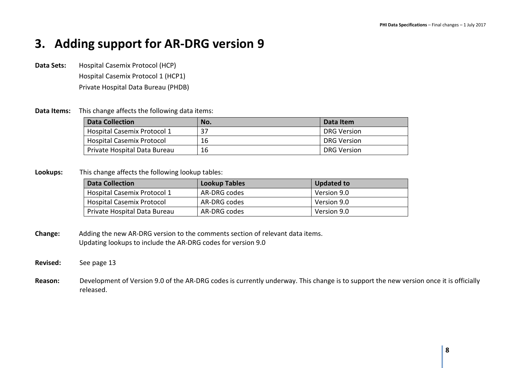## <span id="page-7-0"></span>**3. Adding support for AR-DRG version 9**

**Data Sets:** Hospital Casemix Protocol (HCP) Hospital Casemix Protocol 1 (HCP1) Private Hospital Data Bureau (PHDB)

#### **Data Items:** This change affects the following data items:

| <b>Data Collection</b>             | No. | Data Item   |
|------------------------------------|-----|-------------|
| <b>Hospital Casemix Protocol 1</b> | 37  | DRG Version |
| <b>Hospital Casemix Protocol</b>   | 16  | DRG Version |
| Private Hospital Data Bureau       | 16  | DRG Version |

#### **Lookups:** This change affects the following lookup tables:

| <b>Data Collection</b>             | <b>Lookup Tables</b> | <b>Updated to</b> |  |
|------------------------------------|----------------------|-------------------|--|
| <b>Hospital Casemix Protocol 1</b> | AR-DRG codes         | Version 9.0       |  |
| <b>Hospital Casemix Protocol</b>   | AR-DRG codes         | Version 9.0       |  |
| Private Hospital Data Bureau       | AR-DRG codes         | Version 9.0       |  |

**Change:** Adding the new AR-DRG version to the comments section of relevant data items. Updating lookups to include the AR-DRG codes for version 9.0

#### **Revised:** See page 13

**Reason:** Development of Version 9.0 of the AR-DRG codes is currently underway. This change is to support the new version once it is officially released.